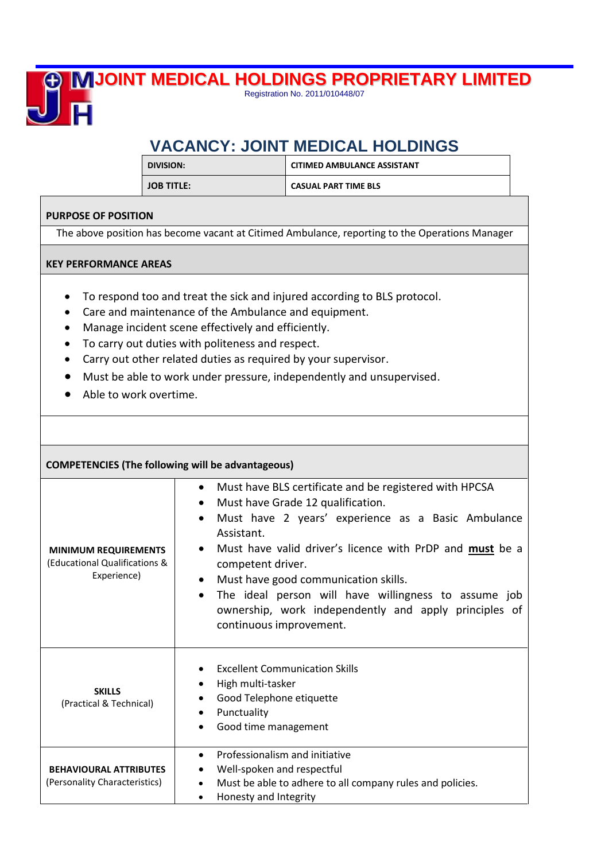# 叵

## **JOINT MEDICAL HOLDINGS PROPRIETARY LIMITED**

Registration No. 2011/010448/07

## **VACANCY: JOINT MEDICAL HOLDINGS**

| DIVISION:         | <b>CITIMED AMBULANCE ASSISTANT</b> |
|-------------------|------------------------------------|
| <b>JOB TITLE:</b> | <b>CASUAL PART TIME BLS</b>        |

### **PURPOSE OF POSITION**

The above position has become vacant at Citimed Ambulance, reporting to the Operations Manager

#### **KEY PERFORMANCE AREAS**

- To respond too and treat the sick and injured according to BLS protocol.
- Care and maintenance of the Ambulance and equipment.
- Manage incident scene effectively and efficiently.
- To carry out duties with politeness and respect.
- Carry out other related duties as required by your supervisor.
- Must be able to work under pressure, independently and unsupervised.
- Able to work overtime.

| <b>COMPETENCIES (The following will be advantageous)</b>                    |                                                                                                                                                                                                                                                                                                                                                                                                                                                                                                                    |  |  |
|-----------------------------------------------------------------------------|--------------------------------------------------------------------------------------------------------------------------------------------------------------------------------------------------------------------------------------------------------------------------------------------------------------------------------------------------------------------------------------------------------------------------------------------------------------------------------------------------------------------|--|--|
| <b>MINIMUM REQUIREMENTS</b><br>(Educational Qualifications &<br>Experience) | Must have BLS certificate and be registered with HPCSA<br>$\bullet$<br>Must have Grade 12 qualification.<br>$\bullet$<br>Must have 2 years' experience as a Basic Ambulance<br>$\bullet$<br>Assistant.<br>Must have valid driver's licence with PrDP and must be a<br>$\bullet$<br>competent driver.<br>Must have good communication skills.<br>$\bullet$<br>The ideal person will have willingness to assume job<br>$\bullet$<br>ownership, work independently and apply principles of<br>continuous improvement. |  |  |
| <b>SKILLS</b><br>(Practical & Technical)                                    | <b>Excellent Communication Skills</b><br>High multi-tasker<br>Good Telephone etiquette<br>Punctuality<br>$\bullet$<br>Good time management<br>$\bullet$                                                                                                                                                                                                                                                                                                                                                            |  |  |
| <b>BEHAVIOURAL ATTRIBUTES</b><br>(Personality Characteristics)              | Professionalism and initiative<br>$\bullet$<br>Well-spoken and respectful<br>Must be able to adhere to all company rules and policies.<br>$\bullet$<br>Honesty and Integrity<br>$\bullet$                                                                                                                                                                                                                                                                                                                          |  |  |